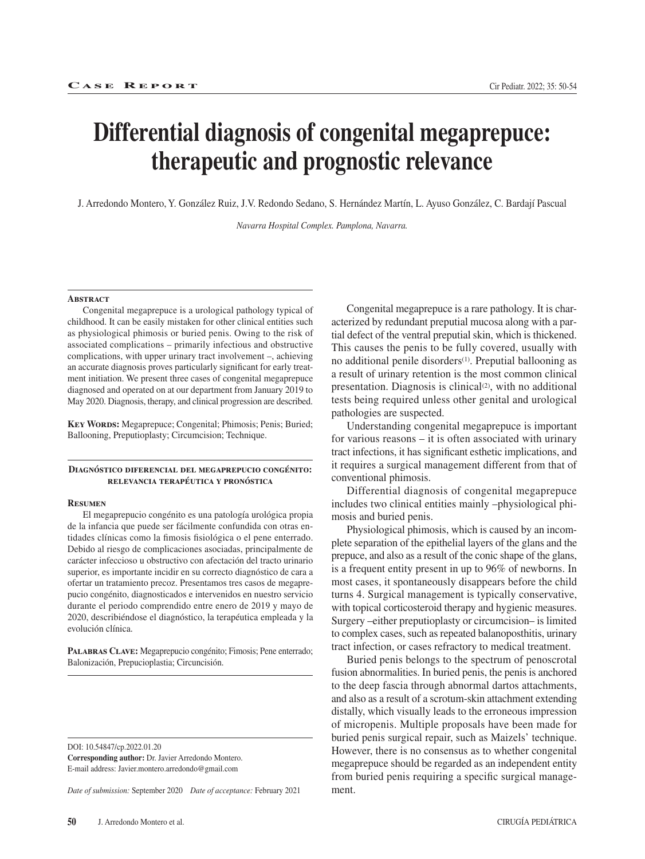# **Differential diagnosis of congenital megaprepuce: therapeutic and prognostic relevance**

J. Arredondo Montero, Y. González Ruiz, J.V. Redondo Sedano, S. Hernández Martín, L. Ayuso González, C. Bardají Pascual

*Navarra Hospital Complex. Pamplona, Navarra.*

#### **Abstract**

Congenital megaprepuce is a urological pathology typical of childhood. It can be easily mistaken for other clinical entities such as physiological phimosis or buried penis. Owing to the risk of associated complications – primarily infectious and obstructive complications, with upper urinary tract involvement –, achieving an accurate diagnosis proves particularly significant for early treatment initiation. We present three cases of congenital megaprepuce diagnosed and operated on at our department from January 2019 to May 2020. Diagnosis, therapy, and clinical progression are described.

**Key Words:** Megaprepuce; Congenital; Phimosis; Penis; Buried; Ballooning, Preputioplasty; Circumcision; Technique.

### **Diagnóstico diferencial del megaprepucio congénito: relevancia terapéutica y pronóstica**

#### **Resumen**

El megaprepucio congénito es una patología urológica propia de la infancia que puede ser fácilmente confundida con otras entidades clínicas como la fimosis fisiológica o el pene enterrado. Debido al riesgo de complicaciones asociadas, principalmente de carácter infeccioso u obstructivo con afectación del tracto urinario superior, es importante incidir en su correcto diagnóstico de cara a ofertar un tratamiento precoz. Presentamos tres casos de megaprepucio congénito, diagnosticados e intervenidos en nuestro servicio durante el periodo comprendido entre enero de 2019 y mayo de 2020, describiéndose el diagnóstico, la terapéutica empleada y la evolución clínica.

**Palabras Clave:** Megaprepucio congénito; Fimosis; Pene enterrado; Balonización, Prepucioplastia; Circuncisión.

DOI: 10.54847/cp.2022.01.20

**Corresponding author:** Dr. Javier Arredondo Montero. E-mail address: Javier.montero.arredondo@gmail.com

*Date of submission:* September 2020 *Date of acceptance:* February 2021

Congenital megaprepuce is a rare pathology. It is characterized by redundant preputial mucosa along with a partial defect of the ventral preputial skin, which is thickened. This causes the penis to be fully covered, usually with no additional penile disorders<sup>(1)</sup>. Preputial ballooning as a result of urinary retention is the most common clinical presentation. Diagnosis is clinical $(2)$ , with no additional tests being required unless other genital and urological pathologies are suspected.

Understanding congenital megaprepuce is important for various reasons – it is often associated with urinary tract infections, it has significant esthetic implications, and it requires a surgical management different from that of conventional phimosis.

Differential diagnosis of congenital megaprepuce includes two clinical entities mainly –physiological phimosis and buried penis.

Physiological phimosis, which is caused by an incomplete separation of the epithelial layers of the glans and the prepuce, and also as a result of the conic shape of the glans, is a frequent entity present in up to 96% of newborns. In most cases, it spontaneously disappears before the child turns 4. Surgical management is typically conservative, with topical corticosteroid therapy and hygienic measures. Surgery –either preputioplasty or circumcision– is limited to complex cases, such as repeated balanoposthitis, urinary tract infection, or cases refractory to medical treatment.

Buried penis belongs to the spectrum of penoscrotal fusion abnormalities. In buried penis, the penis is anchored to the deep fascia through abnormal dartos attachments, and also as a result of a scrotum-skin attachment extending distally, which visually leads to the erroneous impression of micropenis. Multiple proposals have been made for buried penis surgical repair, such as Maizels' technique. However, there is no consensus as to whether congenital megaprepuce should be regarded as an independent entity from buried penis requiring a specific surgical management.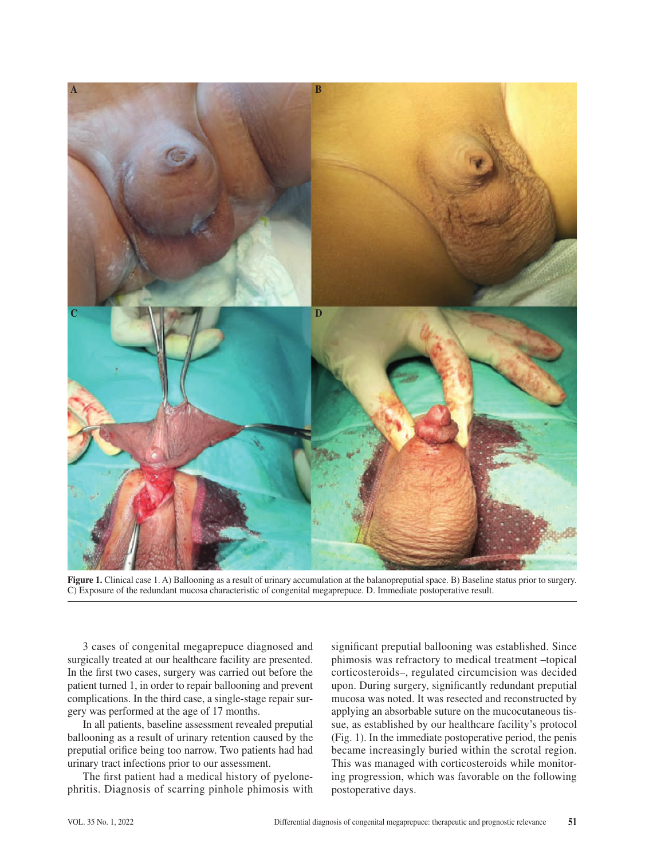

**Figure 1.** Clinical case 1. A) Ballooning as a result of urinary accumulation at the balanopreputial space. B) Baseline status prior to surgery. C) Exposure of the redundant mucosa characteristic of congenital megaprepuce. D. Immediate postoperative result.

3 cases of congenital megaprepuce diagnosed and surgically treated at our healthcare facility are presented. In the first two cases, surgery was carried out before the patient turned 1, in order to repair ballooning and prevent complications. In the third case, a single-stage repair surgery was performed at the age of 17 months.

In all patients, baseline assessment revealed preputial ballooning as a result of urinary retention caused by the preputial orifice being too narrow. Two patients had had urinary tract infections prior to our assessment.

The first patient had a medical history of pyelonephritis. Diagnosis of scarring pinhole phimosis with significant preputial ballooning was established. Since phimosis was refractory to medical treatment –topical corticosteroids–, regulated circumcision was decided upon. During surgery, significantly redundant preputial mucosa was noted. It was resected and reconstructed by applying an absorbable suture on the mucocutaneous tissue, as established by our healthcare facility's protocol (Fig. 1). In the immediate postoperative period, the penis became increasingly buried within the scrotal region. This was managed with corticosteroids while monitoring progression, which was favorable on the following postoperative days.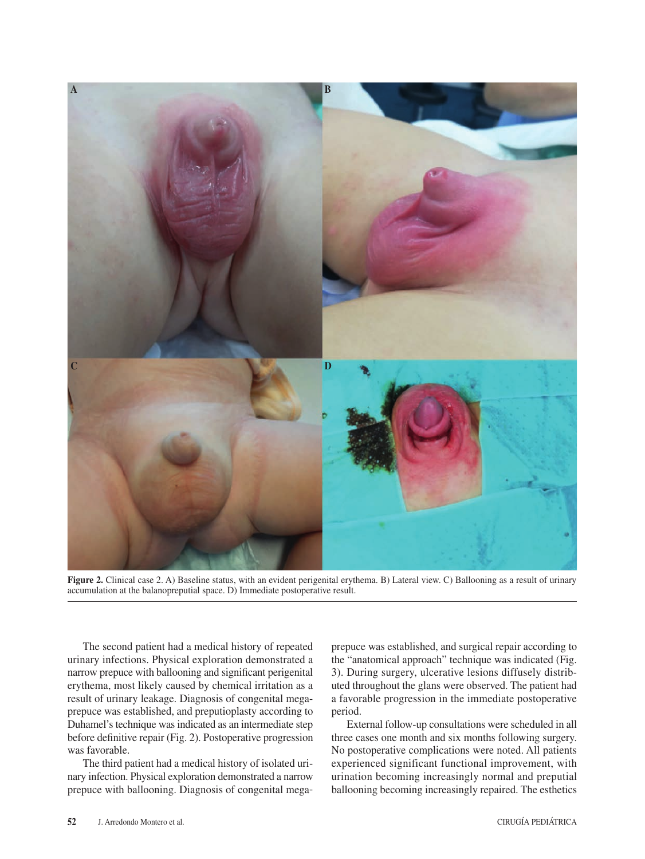

**Figure 2.** Clinical case 2. A) Baseline status, with an evident perigenital erythema. B) Lateral view. C) Ballooning as a result of urinary accumulation at the balanopreputial space. D) Immediate postoperative result.

The second patient had a medical history of repeated urinary infections. Physical exploration demonstrated a narrow prepuce with ballooning and significant perigenital erythema, most likely caused by chemical irritation as a result of urinary leakage. Diagnosis of congenital megaprepuce was established, and preputioplasty according to Duhamel's technique was indicated as an intermediate step before definitive repair (Fig. 2). Postoperative progression was favorable.

The third patient had a medical history of isolated urinary infection. Physical exploration demonstrated a narrow prepuce with ballooning. Diagnosis of congenital megaprepuce was established, and surgical repair according to the "anatomical approach" technique was indicated (Fig. 3). During surgery, ulcerative lesions diffusely distributed throughout the glans were observed. The patient had a favorable progression in the immediate postoperative period.

External follow-up consultations were scheduled in all three cases one month and six months following surgery. No postoperative complications were noted. All patients experienced significant functional improvement, with urination becoming increasingly normal and preputial ballooning becoming increasingly repaired. The esthetics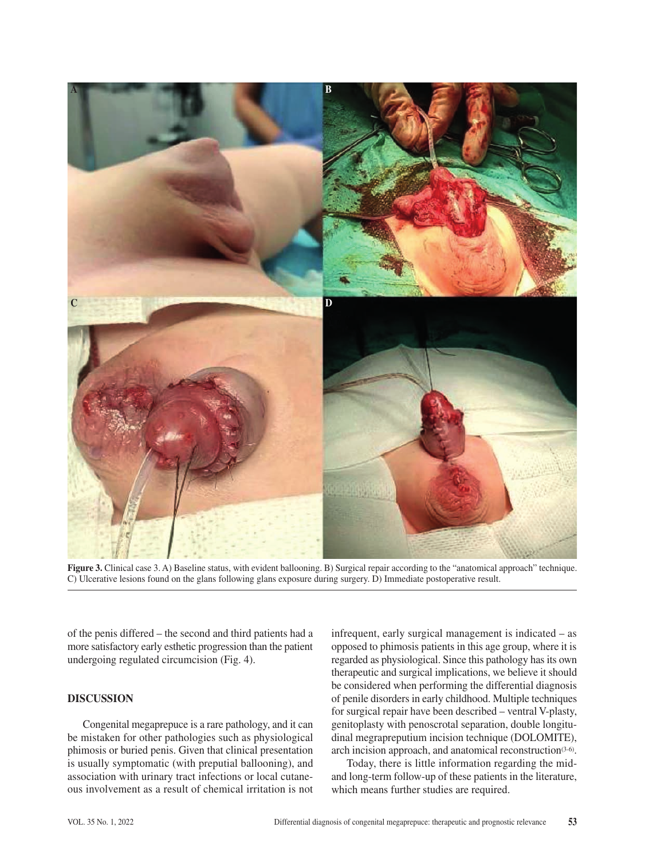

**Figure 3.** Clinical case 3. A) Baseline status, with evident ballooning. B) Surgical repair according to the "anatomical approach" technique. C) Ulcerative lesions found on the glans following glans exposure during surgery. D) Immediate postoperative result.

of the penis differed – the second and third patients had a more satisfactory early esthetic progression than the patient undergoing regulated circumcision (Fig. 4).

## **DISCUSSION**

Congenital megaprepuce is a rare pathology, and it can be mistaken for other pathologies such as physiological phimosis or buried penis. Given that clinical presentation is usually symptomatic (with preputial ballooning), and association with urinary tract infections or local cutaneous involvement as a result of chemical irritation is not infrequent, early surgical management is indicated – as opposed to phimosis patients in this age group, where it is regarded as physiological. Since this pathology has its own therapeutic and surgical implications, we believe it should be considered when performing the differential diagnosis of penile disorders in early childhood. Multiple techniques for surgical repair have been described – ventral V-plasty, genitoplasty with penoscrotal separation, double longitudinal megrapreputium incision technique (DOLOMITE), arch incision approach, and anatomical reconstruction<sup>(3-6)</sup>.

Today, there is little information regarding the midand long-term follow-up of these patients in the literature, which means further studies are required.